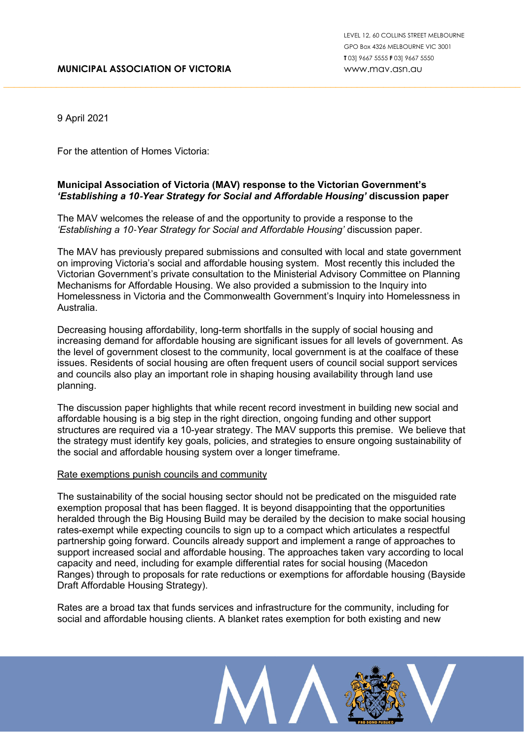9 April 2021

For the attention of Homes Victoria:

### **Municipal Association of Victoria (MAV) response to the Victorian Government's**  *'Establishing a 10*‑*Year Strategy for Social and Affordable Housing'* **discussion paper**

The MAV welcomes the release of and the opportunity to provide a response to the *'Establishing a 10*‑*Year Strategy for Social and Affordable Housing'* discussion paper.

The MAV has previously prepared submissions and consulted with local and state government on improving Victoria's social and affordable housing system. Most recently this included the Victorian Government's private consultation to the Ministerial Advisory Committee on Planning Mechanisms for Affordable Housing. We also provided a submission to the Inquiry into Homelessness in Victoria and the Commonwealth Government's Inquiry into Homelessness in Australia.

Decreasing housing affordability, long-term shortfalls in the supply of social housing and increasing demand for affordable housing are significant issues for all levels of government. As the level of government closest to the community, local government is at the coalface of these issues. Residents of social housing are often frequent users of council social support services and councils also play an important role in shaping housing availability through land use planning.

The discussion paper highlights that while recent record investment in building new social and affordable housing is a big step in the right direction, ongoing funding and other support structures are required via a 10-year strategy. The MAV supports this premise. We believe that the strategy must identify key goals, policies, and strategies to ensure ongoing sustainability of the social and affordable housing system over a longer timeframe.

#### Rate exemptions punish councils and community

The sustainability of the social housing sector should not be predicated on the misguided rate exemption proposal that has been flagged. It is beyond disappointing that the opportunities heralded through the Big Housing Build may be derailed by the decision to make social housing rates-exempt while expecting councils to sign up to a compact which articulates a respectful partnership going forward. Councils already support and implement a range of approaches to support increased social and affordable housing. The approaches taken vary according to local capacity and need, including for example differential rates for social housing (Macedon Ranges) through to proposals for rate reductions or exemptions for affordable housing (Bayside Draft Affordable Housing Strategy).

Rates are a broad tax that funds services and infrastructure for the community, including for social and affordable housing clients. A blanket rates exemption for both existing and new

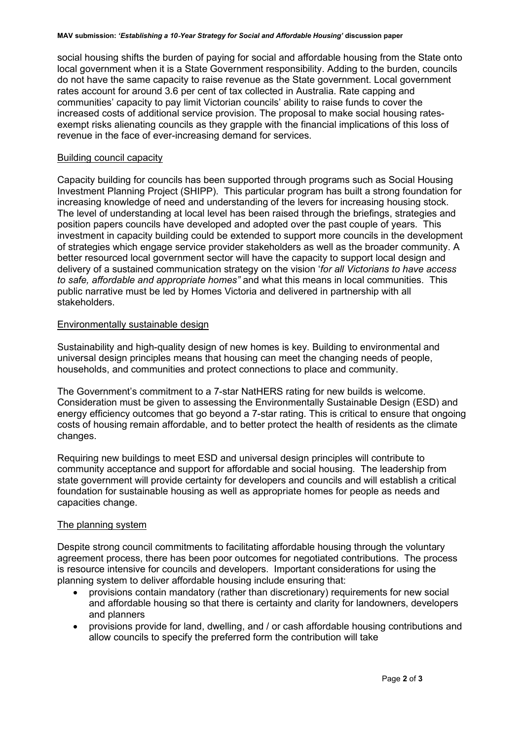social housing shifts the burden of paying for social and affordable housing from the State onto local government when it is a State Government responsibility. Adding to the burden, councils do not have the same capacity to raise revenue as the State government. Local government rates account for around 3.6 per cent of tax collected in Australia. Rate capping and communities' capacity to pay limit Victorian councils' ability to raise funds to cover the increased costs of additional service provision. The proposal to make social housing ratesexempt risks alienating councils as they grapple with the financial implications of this loss of revenue in the face of ever-increasing demand for services.

#### Building council capacity

Capacity building for councils has been supported through programs such as Social Housing Investment Planning Project (SHIPP). This particular program has built a strong foundation for increasing knowledge of need and understanding of the levers for increasing housing stock. The level of understanding at local level has been raised through the briefings, strategies and position papers councils have developed and adopted over the past couple of years. This investment in capacity building could be extended to support more councils in the development of strategies which engage service provider stakeholders as well as the broader community. A better resourced local government sector will have the capacity to support local design and delivery of a sustained communication strategy on the vision '*for all Victorians to have access to safe, affordable and appropriate homes"* and what this means in local communities. This public narrative must be led by Homes Victoria and delivered in partnership with all stakeholders.

#### Environmentally sustainable design

Sustainability and high-quality design of new homes is key. Building to environmental and universal design principles means that housing can meet the changing needs of people, households, and communities and protect connections to place and community.

The Government's commitment to a 7-star NatHERS rating for new builds is welcome. Consideration must be given to assessing the Environmentally Sustainable Design (ESD) and energy efficiency outcomes that go beyond a 7-star rating. This is critical to ensure that ongoing costs of housing remain affordable, and to better protect the health of residents as the climate changes.

Requiring new buildings to meet ESD and universal design principles will contribute to community acceptance and support for affordable and social housing. The leadership from state government will provide certainty for developers and councils and will establish a critical foundation for sustainable housing as well as appropriate homes for people as needs and capacities change.

#### The planning system

Despite strong council commitments to facilitating affordable housing through the voluntary agreement process, there has been poor outcomes for negotiated contributions. The process is resource intensive for councils and developers. Important considerations for using the planning system to deliver affordable housing include ensuring that:

- provisions contain mandatory (rather than discretionary) requirements for new social and affordable housing so that there is certainty and clarity for landowners, developers and planners
- provisions provide for land, dwelling, and / or cash affordable housing contributions and allow councils to specify the preferred form the contribution will take